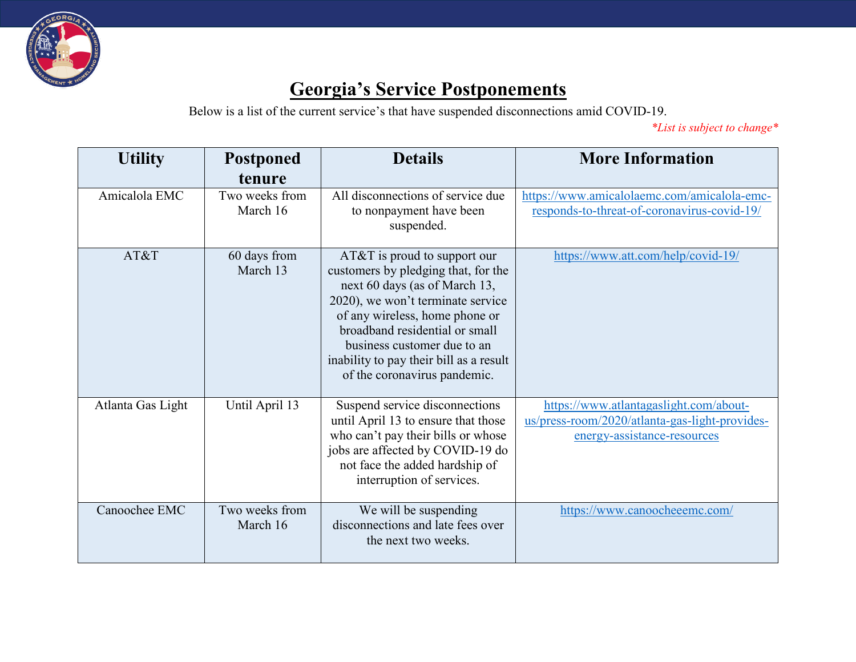

## **Georgia's Service Postponements**

Below is a list of the current service's that have suspended disconnections amid COVID-19.

*\*List is subject to change\**

| <b>Utility</b>    | <b>Postponed</b><br>tenure | <b>Details</b>                                                                                                                                                                                                                                                                                                            | <b>More Information</b>                                                                                                 |
|-------------------|----------------------------|---------------------------------------------------------------------------------------------------------------------------------------------------------------------------------------------------------------------------------------------------------------------------------------------------------------------------|-------------------------------------------------------------------------------------------------------------------------|
| Amicalola EMC     | Two weeks from<br>March 16 | All disconnections of service due<br>to nonpayment have been<br>suspended.                                                                                                                                                                                                                                                | https://www.amicalolaemc.com/amicalola-emc-<br>responds-to-threat-of-coronavirus-covid-19/                              |
| AT&T              | 60 days from<br>March 13   | $AT&T$ is proud to support our<br>customers by pledging that, for the<br>next 60 days (as of March 13,<br>2020), we won't terminate service<br>of any wireless, home phone or<br>broadband residential or small<br>business customer due to an<br>inability to pay their bill as a result<br>of the coronavirus pandemic. | https://www.att.com/help/covid-19/                                                                                      |
| Atlanta Gas Light | Until April 13             | Suspend service disconnections<br>until April 13 to ensure that those<br>who can't pay their bills or whose<br>jobs are affected by COVID-19 do<br>not face the added hardship of<br>interruption of services.                                                                                                            | https://www.atlantagaslight.com/about-<br>us/press-room/2020/atlanta-gas-light-provides-<br>energy-assistance-resources |
| Canoochee EMC     | Two weeks from<br>March 16 | We will be suspending<br>disconnections and late fees over<br>the next two weeks.                                                                                                                                                                                                                                         | https://www.canoocheeemc.com/                                                                                           |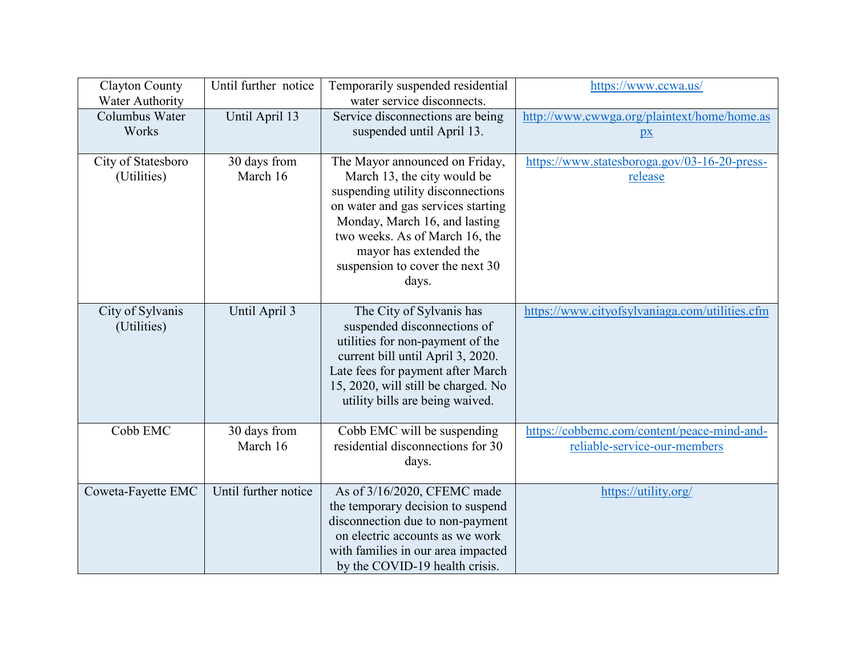| <b>Clayton County</b>             | Until further notice     | Temporarily suspended residential                                                                                                                                                                                                                                                 | https://www.ccwa.us/                                                        |
|-----------------------------------|--------------------------|-----------------------------------------------------------------------------------------------------------------------------------------------------------------------------------------------------------------------------------------------------------------------------------|-----------------------------------------------------------------------------|
| <b>Water Authority</b>            |                          | water service disconnects.                                                                                                                                                                                                                                                        |                                                                             |
| Columbus Water<br>Works           | Until April 13           | Service disconnections are being                                                                                                                                                                                                                                                  | http://www.cwwga.org/plaintext/home/home.as                                 |
|                                   |                          | suspended until April 13.                                                                                                                                                                                                                                                         | $\mathbf{p}$                                                                |
| City of Statesboro<br>(Utilities) | 30 days from<br>March 16 | The Mayor announced on Friday,<br>March 13, the city would be<br>suspending utility disconnections<br>on water and gas services starting<br>Monday, March 16, and lasting<br>two weeks. As of March 16, the<br>mayor has extended the<br>suspension to cover the next 30<br>days. | https://www.statesboroga.gov/03-16-20-press-<br>release                     |
| City of Sylvanis<br>(Utilities)   | Until April 3            | The City of Sylvanis has<br>suspended disconnections of<br>utilities for non-payment of the<br>current bill until April 3, 2020.<br>Late fees for payment after March<br>15, 2020, will still be charged. No<br>utility bills are being waived.                                   | https://www.cityofsylvaniaga.com/utilities.cfm                              |
| Cobb EMC                          | 30 days from<br>March 16 | Cobb EMC will be suspending<br>residential disconnections for 30<br>days.                                                                                                                                                                                                         | https://cobbemc.com/content/peace-mind-and-<br>reliable-service-our-members |
| Coweta-Fayette EMC                | Until further notice     | As of 3/16/2020, CFEMC made<br>the temporary decision to suspend<br>disconnection due to non-payment<br>on electric accounts as we work<br>with families in our area impacted<br>by the COVID-19 health crisis.                                                                   | https://utility.org/                                                        |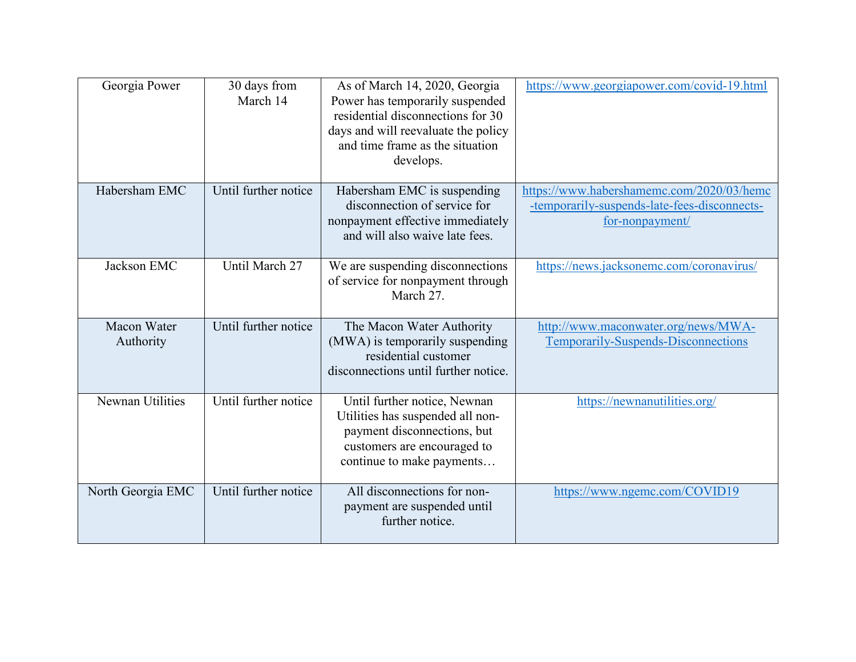| Georgia Power            | 30 days from<br>March 14 | As of March 14, 2020, Georgia<br>Power has temporarily suspended<br>residential disconnections for 30<br>days and will reevaluate the policy<br>and time frame as the situation<br>develops. | https://www.georgiapower.com/covid-19.html                                                                   |
|--------------------------|--------------------------|----------------------------------------------------------------------------------------------------------------------------------------------------------------------------------------------|--------------------------------------------------------------------------------------------------------------|
| Habersham EMC            | Until further notice     | Habersham EMC is suspending<br>disconnection of service for<br>nonpayment effective immediately<br>and will also waive late fees.                                                            | https://www.habershamemc.com/2020/03/hemc<br>-temporarily-suspends-late-fees-disconnects-<br>for-nonpayment/ |
| Jackson EMC              | Until March 27           | We are suspending disconnections<br>of service for nonpayment through<br>March 27.                                                                                                           | https://news.jacksonemc.com/coronavirus/                                                                     |
| Macon Water<br>Authority | Until further notice     | The Macon Water Authority<br>(MWA) is temporarily suspending<br>residential customer<br>disconnections until further notice.                                                                 | http://www.maconwater.org/news/MWA-<br>Temporarily-Suspends-Disconnections                                   |
| Newnan Utilities         | Until further notice     | Until further notice, Newnan<br>Utilities has suspended all non-<br>payment disconnections, but<br>customers are encouraged to<br>continue to make payments                                  | https://newnanutilities.org/                                                                                 |
| North Georgia EMC        | Until further notice     | All disconnections for non-<br>payment are suspended until<br>further notice.                                                                                                                | https://www.ngemc.com/COVID19                                                                                |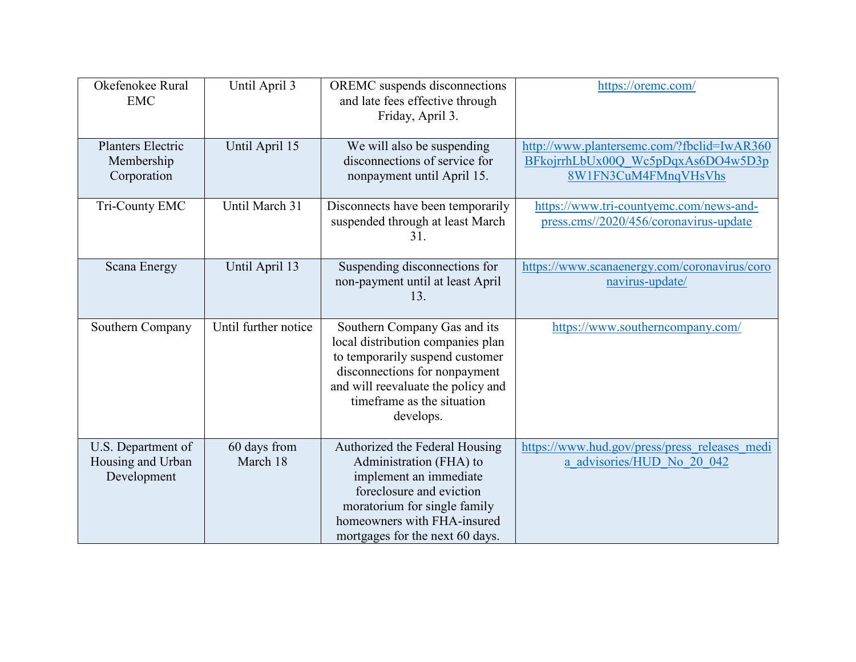| Okefenokee Rural<br><b>EMC</b>                         | Until April 3            | OREMC suspends disconnections<br>and late fees effective through<br>Friday, April 3.                                                                                                                                   | https://oremc.com/                                                                                       |
|--------------------------------------------------------|--------------------------|------------------------------------------------------------------------------------------------------------------------------------------------------------------------------------------------------------------------|----------------------------------------------------------------------------------------------------------|
| Planters Electric<br>Membership<br>Corporation         | Until April 15           | We will also be suspending<br>disconnections of service for<br>nonpayment until April 15.                                                                                                                              | http://www.plantersemc.com/?fbclid=IwAR360<br>BFkojrrhLbUx00Q Wc5pDqxAs6DO4w5D3p<br>8W1FN3CuM4FMnqVHsVhs |
| Tri-County EMC                                         | Until March 31           | Disconnects have been temporarily<br>suspended through at least March<br>31.                                                                                                                                           | https://www.tri-countyemc.com/news-and-<br>press.cms//2020/456/coronavirus-update                        |
| <b>Scana Energy</b>                                    | Until April 13           | Suspending disconnections for<br>non-payment until at least April<br>13.                                                                                                                                               | https://www.scanaenergy.com/coronavirus/coro<br>navirus-update/                                          |
| Southern Company                                       | Until further notice     | Southern Company Gas and its<br>local distribution companies plan<br>to temporarily suspend customer<br>disconnections for nonpayment<br>and will reevaluate the policy and<br>timeframe as the situation<br>develops. | https://www.southerncompany.com/                                                                         |
| U.S. Department of<br>Housing and Urban<br>Development | 60 days from<br>March 18 | Authorized the Federal Housing<br>Administration (FHA) to<br>implement an immediate<br>foreclosure and eviction<br>moratorium for single family<br>homeowners with FHA-insured<br>mortgages for the next 60 days.      | https://www.hud.gov/press/press releases medi<br>a advisories/HUD No 20 042                              |